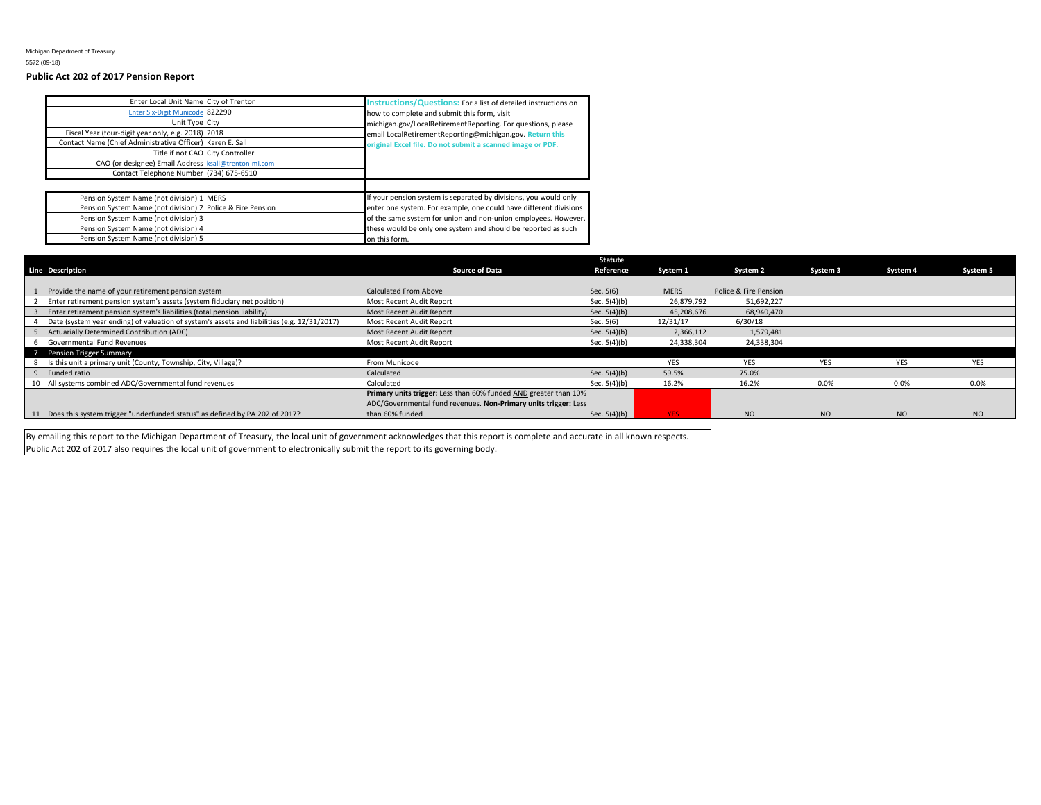## **Public Act 202 of 2017 Pension Report**

| Enter Local Unit Name City of Trenton<br>Enter Six-Digit Municode 822290<br>Unit Type City<br>Fiscal Year (four-digit year only, e.g. 2018) 2018<br>Contact Name (Chief Administrative Officer) Karen E. Sall<br>CAO (or designee) Email Address ksall@trenton-mi.com<br>Contact Telephone Number (734) 675-6510 | Title if not CAO City Controller | Instructions/Questions: For a list of detailed instructions on<br>how to complete and submit this form, visit<br>michigan.gov/LocalRetirementReporting. For questions, please<br>email LocalRetirementReporting@michigan.gov. Return this<br>original Excel file. Do not submit a scanned image or PDF. |
|------------------------------------------------------------------------------------------------------------------------------------------------------------------------------------------------------------------------------------------------------------------------------------------------------------------|----------------------------------|---------------------------------------------------------------------------------------------------------------------------------------------------------------------------------------------------------------------------------------------------------------------------------------------------------|
|                                                                                                                                                                                                                                                                                                                  |                                  |                                                                                                                                                                                                                                                                                                         |
| Pension System Name (not division) 1 MERS                                                                                                                                                                                                                                                                        |                                  | If your pension system is separated by divisions, you would only                                                                                                                                                                                                                                        |
| Pension System Name (not division) 2 Police & Fire Pension                                                                                                                                                                                                                                                       |                                  | enter one system. For example, one could have different divisions                                                                                                                                                                                                                                       |
| Pension System Name (not division) 3                                                                                                                                                                                                                                                                             |                                  | of the same system for union and non-union employees. However,                                                                                                                                                                                                                                          |
| Pension System Name (not division) 4                                                                                                                                                                                                                                                                             |                                  | these would be only one system and should be reported as such                                                                                                                                                                                                                                           |
| Pension System Name (not division) 5                                                                                                                                                                                                                                                                             |                                  | on this form.                                                                                                                                                                                                                                                                                           |

|                                                                                             |                                                                  | <b>Statute</b> |             |                       |            |                |            |
|---------------------------------------------------------------------------------------------|------------------------------------------------------------------|----------------|-------------|-----------------------|------------|----------------|------------|
| <b>Line Description</b>                                                                     | <b>Source of Data</b>                                            | Reference      | System 1    | System 2              | System 3   | System 4       | System 5   |
|                                                                                             |                                                                  |                |             |                       |            |                |            |
| Provide the name of your retirement pension system                                          | Calculated From Above                                            | Sec. $5(6)$    | <b>MERS</b> | Police & Fire Pension |            |                |            |
| Enter retirement pension system's assets (system fiduciary net position)                    | Most Recent Audit Report                                         | Sec. $5(4)(b)$ | 26,879,792  | 51,692,227            |            |                |            |
| Enter retirement pension system's liabilities (total pension liability)                     | Most Recent Audit Report                                         | Sec. $5(4)(b)$ | 45,208,676  | 68,940,470            |            |                |            |
| Date (system year ending) of valuation of system's assets and liabilities (e.g. 12/31/2017) | Most Recent Audit Report                                         | Sec. 5(6)      | 12/31/17    | 6/30/18               |            |                |            |
| Actuarially Determined Contribution (ADC)                                                   | Most Recent Audit Report                                         | Sec. $5(4)(b)$ | 2,366,112   | 1,579,481             |            |                |            |
| 6 Governmental Fund Revenues                                                                | Most Recent Audit Report                                         | Sec. $5(4)(b)$ | 24,338,304  | 24,338,304            |            |                |            |
| 7 Pension Trigger Summary                                                                   |                                                                  |                |             |                       |            |                |            |
| Is this unit a primary unit (County, Township, City, Village)?                              | From Municode                                                    |                | <b>YES</b>  | YES                   | <b>YES</b> | <b>YES</b>     | <b>YES</b> |
| Funded ratio                                                                                | Calculated                                                       | Sec. $5(4)(b)$ | 59.5%       | 75.0%                 |            |                |            |
| 10 All systems combined ADC/Governmental fund revenues                                      | Calculated                                                       | Sec. $5(4)(b)$ | 16.2%       | 16.2%                 | 0.09       | 0.0%           | 0.0%       |
|                                                                                             | Primary units trigger: Less than 60% funded AND greater than 10% |                |             |                       |            |                |            |
|                                                                                             | ADC/Governmental fund revenues. Non-Primary units trigger: Less  |                |             |                       |            |                |            |
| 11 Does this system trigger "underfunded status" as defined by PA 202 of 2017?              | than 60% funded                                                  | Sec. $5(4)(b)$ | YES.        | NO                    | <b>NO</b>  | N <sub>O</sub> | <b>NO</b>  |
|                                                                                             |                                                                  |                |             |                       |            |                |            |

By emailing this report to the Michigan Department of Treasury, the local unit of government acknowledges that this report is complete and accurate in all known respects. Public Act 202 of 2017 also requires the local unit of government to electronically submit the report to its governing body.